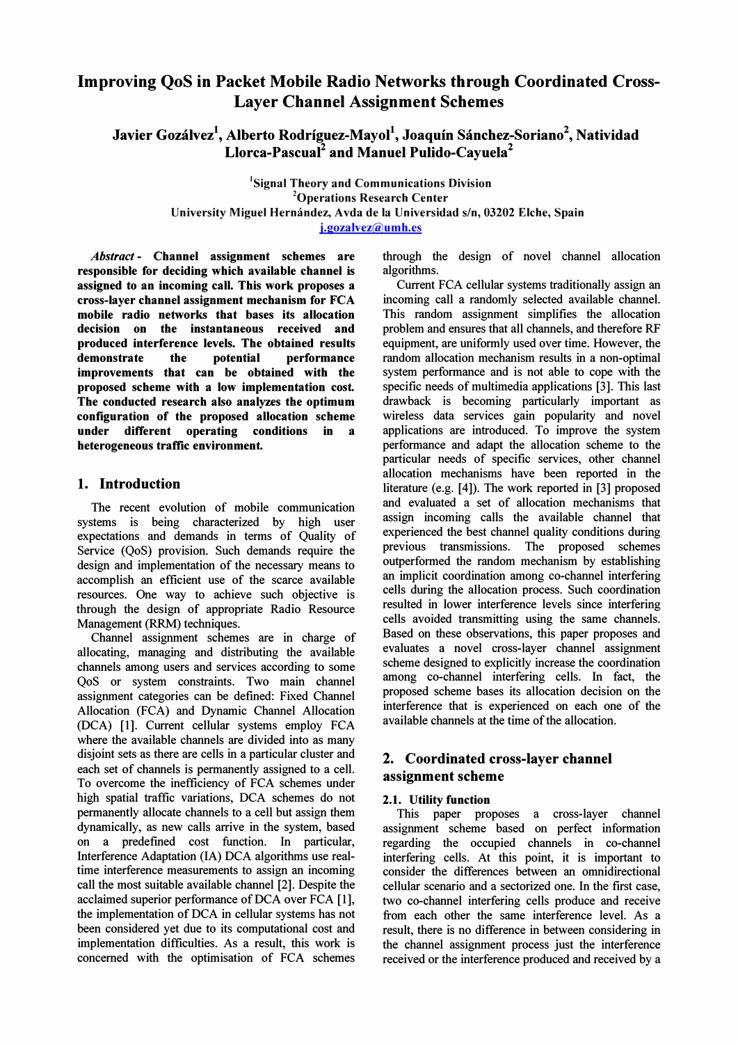# Improving QoS in Packet Mobile Radio Networks through Coordinated Cross-Layer Channel Assignment Schemes

Javier Gozálvez<sup>1</sup>, Alberto Rodríguez-Mayol<sup>1</sup>, Joaquín Sánchez-Soriano<sup>2</sup>, Natividad Llorca-Pascual<sup>2</sup> and Manuel Pulido-Cayuela<sup>2</sup>

> <sup>1</sup>Signal Theory and Communications Division 20perations Research Center University Miguel Hernández, Avda de la Universidad s/n, 03202 Elche, Spain j.gozalvez@umh.es

Abstract - Channel assignment schemes are responsible for deciding which available channel is assigned to an incoming call. This work proposes a cross-layer channel assignment mechanism for FCA mobile radio networks that bases its allocation decision on the instantaneous received and produced interference levels. The obtained results demonstrate the potential performance improvements that can be obtained with the proposed scheme with a low implementation cost. The conducted research also analyzes the optimum configuration of the proposed allocation scheme under different operating conditions in a heterogeneous traffic environment.

# 1. Introduction

The recent evolution of mobile communication systems is being characterized by high user expectations and demands in tenns of Quality of Service (QoS) provision. Such demands require the design and implementation of the necessary means to accomplish an efficient use of the scarce available resources. One way to achieve such objective is through the design of appropriate Radio Resource Management (RRM) techniques.

Channel assignment schemes are in charge of allocating, managing and distributing the available channels among users and services according to some QoS or system constraints. Two main channel assignment categories can be defined: Fixed Channel Allocation (FCA) and Dynamic Channel Allocation (DCA) [1]. Current cellular systems employ FCA where the available channels are divided into as many disjoint sets as there are cells in a particular cluster and each set of channels is pennanently assigned to a cell. To overcome the inefficiency of FCA schemes under high spatial traffic variations, DCA schemes do not pennanently allocate channels to a cell but assign them dynamically, as new calls arrive in the system, based on a predefmed cost function. In particular, Interference Adaptation (IA) DCA algorithms use realtime interference measurements to assign an incoming call the most suitable available channel [2]. Despite the acclaimed superior perfonnance of DCA over FCA [1], the implementation of DCA in cellular systems has not been considered yet due to its computational cost and implementation difficulties. As a result, this work is concerned with the optimisation of FCA schemes

through the design of novel channel allocation algorithms.

Current FCA cellular systems traditionally assign an incoming call a randomly selected available channel. This random assignment simplifies the allocation problem and ensures that all channels, and therefore RF equipment, are uniformly used over time. However, the random allocation mechanism results in a non-optimal system perfonnance and is not able to cope with the specific needs of multimedia applications [3]. This last drawback is becoming particularly important as wireless data services gain popularity and novel applications are introduced. To improve the system perfonnance and adapt the allocation scheme to the particular needs of specific services, other channel allocation mechanisms have been reported in the literature (e.g. [4]). The work reported in [3] proposed and evaluated a set of allocation mechanisms that assign incoming calls the available channel that experienced the best channel quality conditions during previous transmissions. The proposed schemes outperfonned the random mechanism by establishing an implicit coordination among co-channel interfering cells during the allocation process. Such coordination resulted in lower interference levels since interfering cells avoided transmitting using the same channels. Based on these observations, this paper proposes and evaluates a novel cross-layer channel assignment scheme designed to explicitly increase the coordination among co-channel interfering cells. In fact, the proposed scheme bases its allocation decision on the interference that is experienced on each one of the available channels at the time of the allocation.

# 2. Coordinated cross-layer channel assignment scheme

### 2.1. Utility function

This paper proposes a cross-layer channel assignment scheme based on perfect infonnation regarding the occupied channels in co-channel interfering cells. At this point, it is important to consider the differences between an omnidirectional cellular scenario and a sectorized one. In the first case, two co-channel interfering cells produce and receive from each other the same interference level. As a result, there is no difference in between considering in the channel assignment process just the interference received or the interference produced and received by a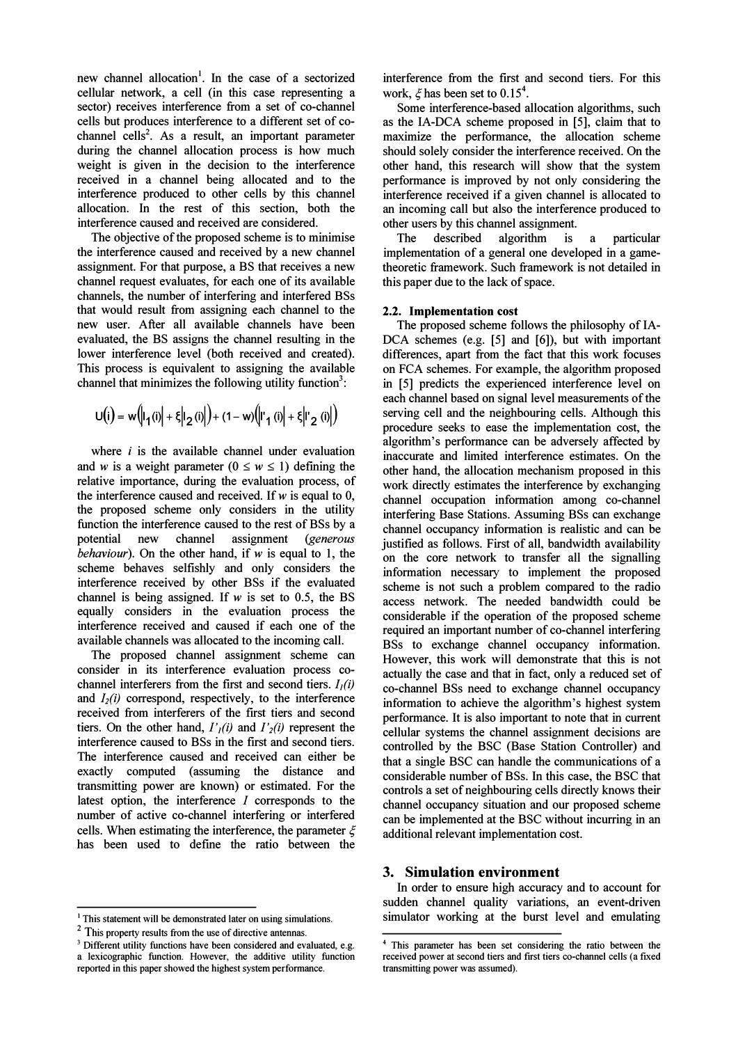new channel allocation<sup>1</sup>. In the case of a sectorized cellular network, a cell (in this case representing a sector) receives interference from a set of co-channel cells but produces interference to a different set of cochannel cells<sup>2</sup>. As a result, an important parameter during the channel allocation process is how much weight is given in the decision to the interference received in a channel being allocated and to the interference produced to other cells by this channel allocation. In the rest of this section, both the interference caused and received are considered.

The objective of the proposed scheme is to minimise the interference caused and received by a new channel assignment. For that purpose, a BS that receives a new channel request evaluates, for each one of its available channels, the number of interfering and interfered BSs that would result from assigning each channel to the new user. After all available channels have been evaluated, the BS assigns the channel resulting in the lower interference level (both received and created). This process is equivalent to assigning the available channel that minimizes the following utility function<sup>3</sup>:

$$
U(i) = w \big( \left| I_1(i) \right| + \left| \xi \right| \left| 2(i) \right| \big) + (1 - w) \big( \left| I_1(i) \right| + \left| \xi \right| \left| I_2(i) \right| \big)
$$

where  $i$  is the available channel under evaluation and w is a weight parameter  $(0 \le w \le 1)$  defining the relative importance, during the evaluation process, of the interference caused and received. If  $w$  is equal to 0, the proposed scheme only considers in the utility function the interference caused to the rest of BSs by a potential new channel assignment (generous behaviour). On the other hand, if  $w$  is equal to 1, the scheme behaves selfishly and only considers the interference received by other BSs if the evaluated channel is being assigned. If  $w$  is set to 0.5, the BS equally considers in the evaluation process the interference received and caused if each one of the available channels was allocated to the incoming call.

The proposed channel assignment scheme can consider in its interference evaluation process cochannel interferers from the first and second tiers.  $I_i(i)$ and  $I_2(i)$  correspond, respectively, to the interference received from interferers of the first tiers and second tiers. On the other hand,  $I'_{i}(i)$  and  $I'_{i}(i)$  represent the interference caused to BSs in the first and second tiers. The interference caused and received can either be exactly computed (assuming the distance and transmitting power are known) or estimated. For the latest option, the interference I corresponds to the number of active co-channel interfering or interfered cells. When estimating the interference, the parameter  $\xi$ has been used to defme the ratio between the interference from the fIrst and second tiers. For this work,  $\xi$  has been set to 0.15<sup>4</sup>.

Some interference-based allocation algorithms, such as the lA-DCA scheme proposed in [5], claim that to maximize the performance, the allocation scheme should solely consider the interference received. On the other hand, this research will show that the system performance is improved by not only considering the interference received if a given channel is allocated to an incoming call but also the interference produced to other users by this channel assignment.

The described algorithm is a particular implementation of a general one developed in a gametheoretic framework. Such framework is not detailed in this paper due to the lack of space.

#### 2.2. Implementation cost

The proposed scheme follows the philosophy of IA-DCA schemes (e.g. [5] and [6]), but with important differences, apart from the fact that this work focuses on FCA schemes. For example, the algorithm proposed in [5] predicts the experienced interference level on each channel based on signal level measurements of the serving cell and the neighbouring cells. Although this procedure seeks to ease the implementation cost, the algorithm's performance can be adversely affected by inaccurate and limited interference estimates. On the other hand, the allocation mechanism proposed in this work directly estimates the interference by exchanging channel occupation information among co-channel interfering Base Stations. Assuming BSs can exchange channel occupancy information is realistic and can be justified as follows. First of all, bandwidth availability on the core network to transfer all the signalling information necessary to implement the proposed scheme is not such a problem compared to the radio access network. The needed bandwidth could be considerable if the operation of the proposed scheme required an important number of co-channel interfering BSs to exchange channel occupancy information. However, this work will demonstrate that this is not actually the case and that in fact, only a reduced set of co-channel BSs need to exchange channel occupancy information to achieve the algorithm's highest system performance. It is also important to note that in current cellular systems the channel assignment decisions are controlled by the BSC (Base Station Controller) and that a single BSC can handle the communications of a considerable number of BSs. In this case, the BSC that controls a set of neighbouring cells directly knows their channel occupancy situation and our proposed scheme can be implemented at the BSC without incurring in an additional relevant implementation cost.

### 3. Simulation environment

In order to ensure high accuracy and to account for sudden channel quality variations, an event-driven simulator working at the burst level and emulating

 $<sup>1</sup>$  This statement will be demonstrated later on using simulations.</sup>

<sup>&</sup>lt;sup>2</sup> This property results from the use of directive antennas.

<sup>&</sup>lt;sup>3</sup> Different utility functions have been considered and evaluated, e.g. a lexicographic function. However, the additive utility function reported in this paper showed the highest system performance.

<sup>4</sup> This parameter has been set considering the ratio between the received power at second tiers and first tiers co-channel cells (a fixed transmitting power was assumed).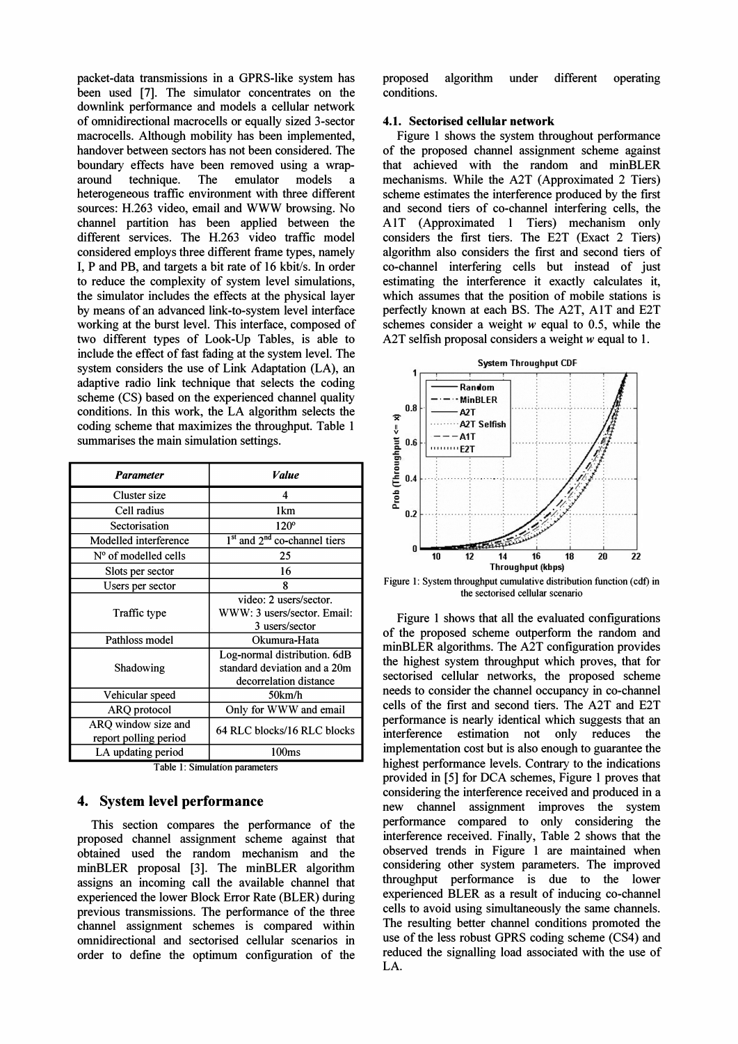packet-data transmissions in a GPRS-like system has been used [7]. The simulator concentrates on the downlink performance and models a cellular network of omnidirectional macrocells or equally sized 3-sector macrocells. Although mobility has been implemented, handover between sectors has not been considered. The boundary effects have been removed using a wraparound technique. The emulator models a heterogeneous traffic environment with three different sources: H.263 video, email and WWW browsing. No channel partition has been applied between the different services. The H.263 video traffic model considered employs three different frame types, namely I, P and PB, and targets a bit rate of 16 kbit/s. In order to reduce the complexity of system level simulations, the simulator includes the effects at the physical layer by means of an advanced link-to-system level interface working at the burst level. This interface, composed of two different types of Look-Up Tables, is able to include the effect of fast fading at the system level. The system considers the use of Link Adaptation (LA), an adaptive radio link technique that selects the coding scheme (CS) based on the experienced channel quality conditions. In this work, the LA algorithm selects the coding scheme that maximizes the throughput. Table 1 summarises the main simulation settings.

| <b>Parameter</b>                             | <i><b>Value</b></i>                                                                    |  |  |  |
|----------------------------------------------|----------------------------------------------------------------------------------------|--|--|--|
| Cluster size                                 | Δ                                                                                      |  |  |  |
| Cell radius                                  | 1 <sub>km</sub>                                                                        |  |  |  |
| Sectorisation                                | $120^\circ$                                                                            |  |  |  |
| Modelled interference                        | $1st$ and $2nd$ co-channel tiers                                                       |  |  |  |
| $No$ of modelled cells                       | 25                                                                                     |  |  |  |
| Slots per sector                             | 16                                                                                     |  |  |  |
| Users per sector                             | 8                                                                                      |  |  |  |
| Traffic type                                 | video: 2 users/sector.<br>WWW: 3 users/sector. Email:<br>3 users/sector                |  |  |  |
| Pathloss model                               | Okumura-Hata                                                                           |  |  |  |
| Shadowing                                    | Log-normal distribution. 6dB<br>standard deviation and a 20m<br>decorrelation distance |  |  |  |
| Vehicular speed                              | 50km/h                                                                                 |  |  |  |
| ARQ protocol                                 | Only for WWW and email                                                                 |  |  |  |
| ARO window size and<br>report polling period | 64 RLC blocks/16 RLC blocks                                                            |  |  |  |
| LA updating period                           | 100 <sub>ms</sub>                                                                      |  |  |  |

Table 1: Simulation parameters

# 4. System level performance

This section compares the performance of the proposed channel assignment scheme against that obtained used the random mechanism and the minBLER proposal [3]. The minBLER algorithm assigns an incoming call the available channel that experienced the lower Block Error Rate (BLER) during previous transmissions. The performance of the three channel assignment schemes is compared within omnidirectional and sectorised cellular scenarios in order to define the optimum configuration of the proposed algorithm under different operating conditions.

#### 4.1. Sectorised cellular network

Figure 1 shows the system throughout performance of the proposed channel assignment scheme against that achieved with the random and minBLER mechanisms. While the A2T (Approximated 2 Tiers) scheme estimates the interference produced by the first and second tiers of co-channel interfering cells, the AlT (Approximated 1 Tiers) mechanism only considers the first tiers. The E2T (Exact 2 Tiers) algorithm also considers the first and second tiers of co-channel interfering cells but instead of just estimating the interference it exactly calculates it, which assumes that the position of mobile stations is perfectly known at each BS. The A2T, AlT and E2T schemes consider a weight  $w$  equal to 0.5, while the A2T selfish proposal considers a weight w equal to 1.



Figure I: System throughput cumulative distribution function (cdf) in the sectorised cellular scenario

Figure 1 shows that all the evaluated configurations of the proposed scheme outperform the random and minBLER algorithms. The A2T configuration provides the highest system throughput which proves, that for sectorised cellular networks, the proposed scheme needs to consider the channel occupancy in co-channel cells of the first and second tiers. The A2T and E2T performance is nearly identical which suggests that an interference estimation not only reduces the implementation cost but is also enough to guarantee the highest performance levels. Contrary to the indications provided in [5] for DCA schemes, Figure 1 proves that considering the interference received and produced in a new channel assignment improves the system performance compared to only considering the interference received. Finally, Table 2 shows that the observed trends in Figure 1 are maintained when considering other system parameters. The improved throughput performance is due to the lower experienced BLER as a result of inducing co-channel cells to avoid using simultaneously the same channels. The resulting better channel conditions promoted the use of the less robust GPRS coding scheme (CS4) and reduced the signalling load associated with the use of LA.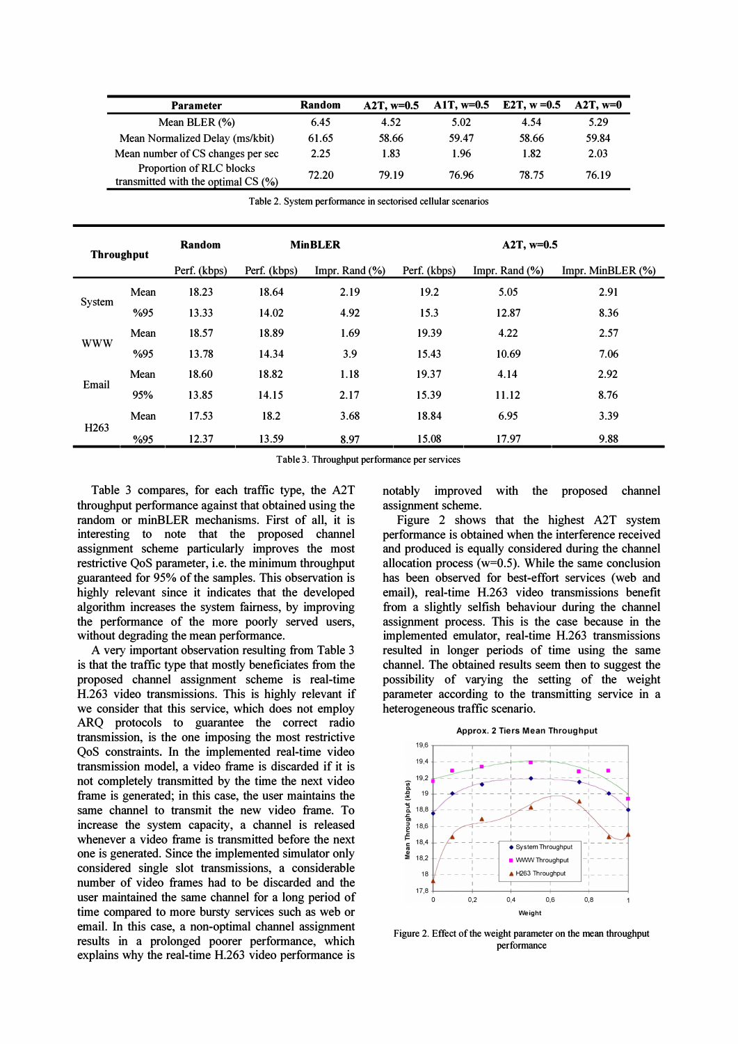| <b>Parameter</b>                                                 | Random | $A2T, w=0.5$ | A1T, $w=0.5$ | E2T, $w = 0.5$ | $A2T, w=0$ |
|------------------------------------------------------------------|--------|--------------|--------------|----------------|------------|
| Mean BLER $(\%)$                                                 | 6.45   | 4.52         | 5.02         | 4.54           | 5.29       |
| Mean Normalized Delay (ms/kbit)                                  | 61.65  | 58.66        | 59.47        | 58.66          | 59.84      |
| Mean number of CS changes per sec                                | 2.25   | 1.83         | 1.96         | 1.82           | 2.03       |
| Proportion of RLC blocks<br>transmitted with the optimal $CS(%)$ | 72.20  | 79.19        | 76.96        | 78.75          | 76.19      |

Table 2. System performance in sectorised cellular scenarios

| <b>Throughput</b> |      | Random       | <b>MinBLER</b> |                   | $A2T, w=0.5$ |                |                       |  |
|-------------------|------|--------------|----------------|-------------------|--------------|----------------|-----------------------|--|
|                   |      | Perf. (kbps) | Perf. (kbps)   | Impr. Rand $(\%)$ | Perf. (kbps) | Impr. Rand (%) | Impr. MinBLER $(\% )$ |  |
| System            | Mean | 18.23        | 18.64          | 2.19              | 19.2         | 5.05           | 2.91                  |  |
|                   | %95  | 13.33        | 14.02          | 4.92              | 15.3         | 12.87          | 8.36                  |  |
| <b>WWW</b>        | Mean | 18.57        | 18.89          | 1.69              | 19.39        | 4.22           | 2.57                  |  |
|                   | %95  | 13.78        | 14.34          | 3.9               | 15.43        | 10.69          | 7.06                  |  |
| Email             | Mean | 18.60        | 18.82          | 1.18              | 19.37        | 4.14           | 2.92                  |  |
|                   | 95%  | 13.85        | 14.15          | 2.17              | 15.39        | 11.12          | 8.76                  |  |
| H <sub>263</sub>  | Mean | 17.53        | 18.2           | 3.68              | 18.84        | 6.95           | 3.39                  |  |
|                   | %95  | 12.37        | 13.59          | 8.97              | 15.08        | 17.97          | 9.88                  |  |

Table 3. Throughput performance per services

Table 3 compares, for each traffic type, the A2T throughput performance against that obtained using the random or minBLER mechanisms. First of all, it is interesting to note that the proposed channel assignment scheme particularly improves the most restrictive QoS parameter, i.e. the minimum throughput guaranteed for 95% of the samples. This observation is highly relevant since it indicates that the developed algorithm increases the system fairness, by improving the performance of the more poorly served users, without degrading the mean performance.

A very important observation resulting from Table 3 is that the traffic type that mostly beneficiates from the proposed channel assignment scheme is real-time H.263 video transmissions. This is highly relevant if we consider that this service, which does not employ ARQ protocols to guarantee the correct radio transmission, is the one imposing the most restrictive QoS constraints. In the implemented real-time video transmission model, a video frame is discarded if it is not completely transmitted by the time the next video frame is generated; in this case, the user maintains the same channel to transmit the new video frame. To increase the system capacity, a channel is released whenever a video frame is transmitted before the next one is generated. Since the implemented simulator only considered single slot transmissions, a considerable number of video frames had to be discarded and the user maintained the same channel for a long period of time compared to more bursty services such as web or email. In this case, a non-optimal channel assignment results in a prolonged poorer performance, which explains why the real-time H.263 video performance is notably improved with the proposed channel assignment scheme.

Figure 2 shows that the highest A2T system performance is obtained when the interference received and produced is equally considered during the channel allocation process ( $w=0.5$ ). While the same conclusion has been observed for best-effort services (web and email), real-time H.263 video transmissions benefit from a slightly selfish behaviour during the channel assignment process. This is the case because in the implemented emulator, real-time H.263 transmissions resulted in longer periods of time using the same channel. The obtained results seem then to suggest the possibility of varying the setting of the weight parameter according to the transmitting service in a heterogeneous traffic scenario. per services<br>
y improved with the proposed channel<br>
ment scheme.<br>
ure 2 shows that the highest A2T system<br>
mance is obtained when the interference received<br>
conduced is equally considered during the channel<br>
ion process (w



Figure 2. Effect of the weight parameter on the mean throughput performance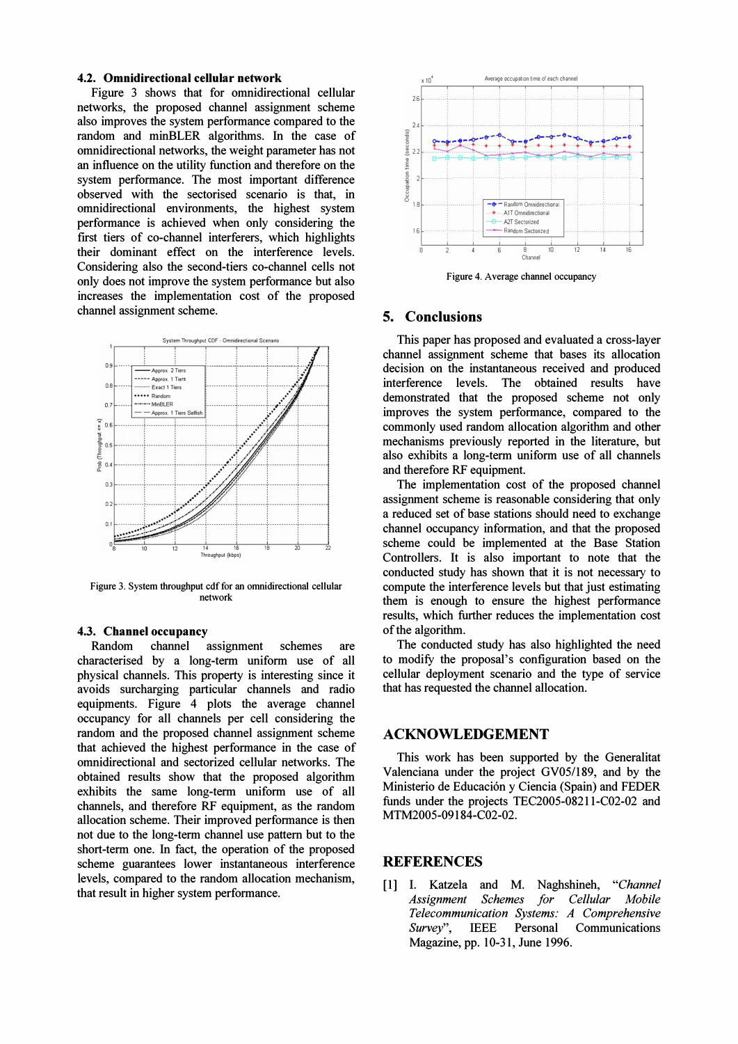### 4.2. Omnidirectional cellular network

Figure 3 shows that for omnidirectional cellular networks, the proposed channel assignment scheme also improves the system performance compared to the random and minBLER algorithms. In the case of omnidirectional networks, the weight parameter has not an influence on the utility function and therefore on the system performance. The most important difference observed with the sectorised scenario is that, in omnidirectional environments, the highest system performance is achieved when only considering the first tiers of co-channel interferers, which highlights their dominant effect on the interference levels. Considering also the second-tiers co-channel cells not only does not improve the system performance but also increases the implementation cost of the proposed channel assignment scheme.



Figure 3. System throughput cdf for an omnidirectional cellular network

### 4.3. Channel occupancy

Random channel assignment schemes are characterised by a long-term uniform use of all physical channels. This property is interesting since it avoids surcharging particular channels and radio equipments. Figure 4 plots the average channel occupancy for all channels per cell considering the random and the proposed channel assignment scheme that achieved the highest performance in the case of omnidirectional and sectorized cellular networks. The obtained results show that the proposed algorithm exhibits the same long-term uniform use of all channels, and therefore RF equipment, as the random allocation scheme. Their improved performance is then not due to the long-term channel use pattern but to the short-term one. In fact, the operation of the proposed scheme guarantees lower instantaneous interference levels, compared to the random allocation mechanism, that result in higher system performance.



Figure 4. Average channel occupancy

### **5. Conclusions**

This paper has proposed and evaluated a cross-layer channel assignment scheme that bases its allocation decision on the instantaneous received and produced interference levels. The obtained results have demonstrated that the proposed scheme not only improves the system performance, compared to the commonly used random allocation algorithm and other mechanisms previously reported in the literature, but also exhibits a long-term uniform use of all channels and therefore RF equipment.

The implementation cost of the proposed channel assignment scheme is reasonable considering that only a reduced set of base stations should need to exchange channel occupancy information, and that the proposed scheme could be implemented at the Base Station Controllers. It is also important to note that the conducted study has shown that it is not necessary to compute the interference levels but that just estimating them is enough to ensure the highest performance results, which further reduces the implementation cost of the algorithm.

The conducted study has also highlighted the need to modify the proposal's configuration based on the cellular deployment scenario and the type of service that has requested the channel allocation.

### **ACKNOWLEDGEMENT**

This work has been supported by the Generalitat Valenciana under the project GV05/189, and by the Ministerio de Educación y Ciencia (Spain) and FEDER funds under the projects TEC2005-08211-C02-02 and MTM2005-09184-C02-02.

### **REFERENCES**

[1] I. Katzela and M. Naghshineh, "Channel" **Assignment** Schemes for Cellular Mobile Telecommunication Systems: A Comprehensive Survey", Communications **IEEE** Personal Magazine, pp. 10-31, June 1996.